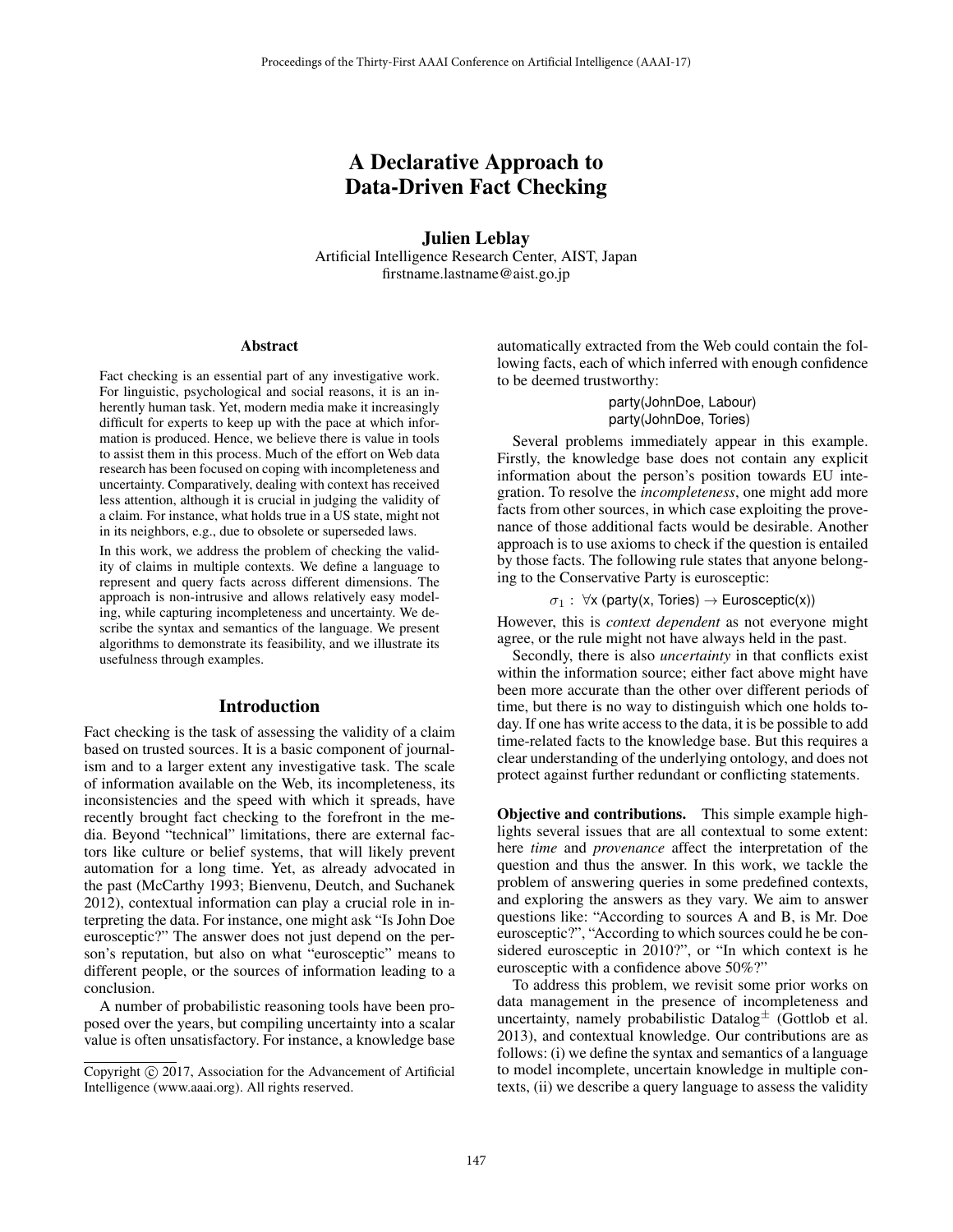# A Declarative Approach to Data-Driven Fact Checking

Julien Leblay Artificial Intelligence Research Center, AIST, Japan firstname.lastname@aist.go.jp

#### Abstract

Fact checking is an essential part of any investigative work. For linguistic, psychological and social reasons, it is an inherently human task. Yet, modern media make it increasingly difficult for experts to keep up with the pace at which information is produced. Hence, we believe there is value in tools to assist them in this process. Much of the effort on Web data research has been focused on coping with incompleteness and uncertainty. Comparatively, dealing with context has received less attention, although it is crucial in judging the validity of a claim. For instance, what holds true in a US state, might not in its neighbors, e.g., due to obsolete or superseded laws.

In this work, we address the problem of checking the validity of claims in multiple contexts. We define a language to represent and query facts across different dimensions. The approach is non-intrusive and allows relatively easy modeling, while capturing incompleteness and uncertainty. We describe the syntax and semantics of the language. We present algorithms to demonstrate its feasibility, and we illustrate its usefulness through examples.

#### Introduction

Fact checking is the task of assessing the validity of a claim based on trusted sources. It is a basic component of journalism and to a larger extent any investigative task. The scale of information available on the Web, its incompleteness, its inconsistencies and the speed with which it spreads, have recently brought fact checking to the forefront in the media. Beyond "technical" limitations, there are external factors like culture or belief systems, that will likely prevent automation for a long time. Yet, as already advocated in the past (McCarthy 1993; Bienvenu, Deutch, and Suchanek 2012), contextual information can play a crucial role in interpreting the data. For instance, one might ask "Is John Doe eurosceptic?" The answer does not just depend on the person's reputation, but also on what "eurosceptic" means to different people, or the sources of information leading to a conclusion.

A number of probabilistic reasoning tools have been proposed over the years, but compiling uncertainty into a scalar value is often unsatisfactory. For instance, a knowledge base

automatically extracted from the Web could contain the following facts, each of which inferred with enough confidence to be deemed trustworthy:

> party(JohnDoe, Labour) party(JohnDoe, Tories)

Several problems immediately appear in this example. Firstly, the knowledge base does not contain any explicit information about the person's position towards EU integration. To resolve the *incompleteness*, one might add more facts from other sources, in which case exploiting the provenance of those additional facts would be desirable. Another approach is to use axioms to check if the question is entailed by those facts. The following rule states that anyone belonging to the Conservative Party is eurosceptic:

 $\sigma_1$ :  $\forall$ x (party(x, Tories)  $\rightarrow$  Eurosceptic(x))

However, this is *context dependent* as not everyone might agree, or the rule might not have always held in the past.

Secondly, there is also *uncertainty* in that conflicts exist within the information source; either fact above might have been more accurate than the other over different periods of time, but there is no way to distinguish which one holds today. If one has write access to the data, it is be possible to add time-related facts to the knowledge base. But this requires a clear understanding of the underlying ontology, and does not protect against further redundant or conflicting statements.

Objective and contributions. This simple example highlights several issues that are all contextual to some extent: here *time* and *provenance* affect the interpretation of the question and thus the answer. In this work, we tackle the problem of answering queries in some predefined contexts, and exploring the answers as they vary. We aim to answer questions like: "According to sources A and B, is Mr. Doe eurosceptic?", "According to which sources could he be considered eurosceptic in 2010?", or "In which context is he eurosceptic with a confidence above 50%?"

To address this problem, we revisit some prior works on data management in the presence of incompleteness and uncertainty, namely probabilistic Datalog $\pm$  (Gottlob et al. 2013), and contextual knowledge. Our contributions are as follows: (i) we define the syntax and semantics of a language to model incomplete, uncertain knowledge in multiple contexts, (ii) we describe a query language to assess the validity

Copyright  $\odot$  2017, Association for the Advancement of Artificial Intelligence (www.aaai.org). All rights reserved.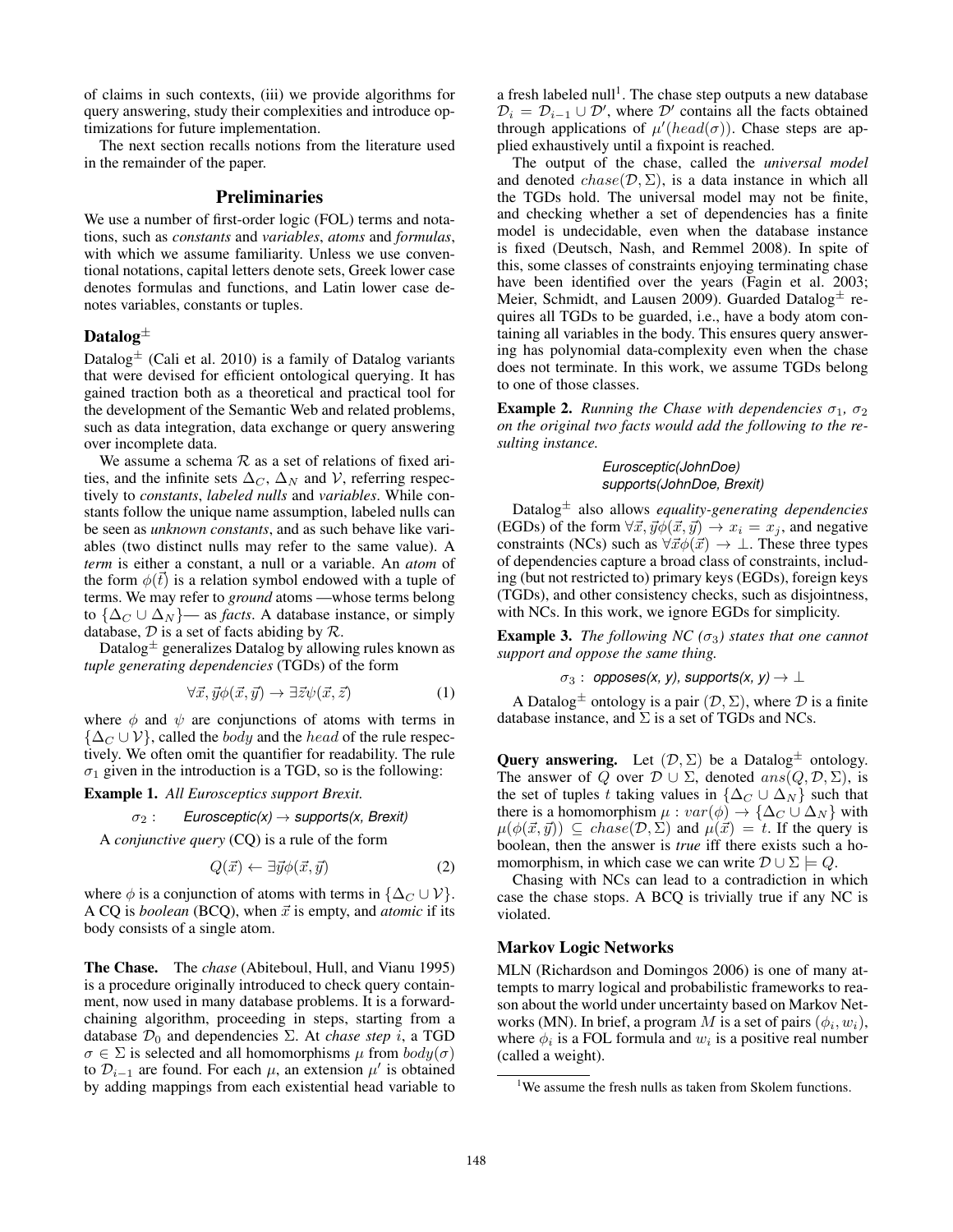of claims in such contexts, (iii) we provide algorithms for query answering, study their complexities and introduce optimizations for future implementation.

The next section recalls notions from the literature used in the remainder of the paper.

# Preliminaries

We use a number of first-order logic (FOL) terms and notations, such as *constants* and *variables*, *atoms* and *formulas*, with which we assume familiarity. Unless we use conventional notations, capital letters denote sets, Greek lower case denotes formulas and functions, and Latin lower case denotes variables, constants or tuples.

# Datalog $\pm$

Datalog $\pm$  (Cali et al. 2010) is a family of Datalog variants that were devised for efficient ontological querying. It has gained traction both as a theoretical and practical tool for the development of the Semantic Web and related problems, such as data integration, data exchange or query answering over incomplete data.

We assume a schema  $R$  as a set of relations of fixed arities, and the infinite sets  $\Delta_C$ ,  $\Delta_N$  and V, referring respectively to *constants*, *labeled nulls* and *variables*. While constants follow the unique name assumption, labeled nulls can be seen as *unknown constants*, and as such behave like variables (two distinct nulls may refer to the same value). A *term* is either a constant, a null or a variable. An *atom* of the form  $\phi(\vec{t})$  is a relation symbol endowed with a tuple of terms. We may refer to *ground* atoms —whose terms belong to  $\{\Delta_C \cup \Delta_N\}$ — as *facts*. A database instance, or simply database,  $D$  is a set of facts abiding by  $R$ .

Datalog $\pm$  generalizes Datalog by allowing rules known as *tuple generating dependencies* (TGDs) of the form

$$
\forall \vec{x}, \vec{y} \phi(\vec{x}, \vec{y}) \rightarrow \exists \vec{z} \psi(\vec{x}, \vec{z}) \tag{1}
$$

where  $\phi$  and  $\psi$  are conjunctions of atoms with terms in  $\{\Delta_C \cup \mathcal{V}\}\$ , called the *body* and the *head* of the rule respectively. We often omit the quantifier for readability. The rule  $\sigma_1$  given in the introduction is a TGD, so is the following:

Example 1. *All Eurosceptics support Brexit.*

<sup>σ</sup><sup>2</sup> : *Eurosceptic(x)* <sup>→</sup> *supports(x, Brexit)*

A *conjunctive query* (CQ) is a rule of the form

$$
Q(\vec{x}) \leftarrow \exists \vec{y} \phi(\vec{x}, \vec{y}) \tag{2}
$$

where  $\phi$  is a conjunction of atoms with terms in  $\{\Delta_C \cup \mathcal{V}\}.$ A CQ is *boolean* (BCQ), when  $\vec{x}$  is empty, and *atomic* if its body consists of a single atom.

The Chase. The *chase* (Abiteboul, Hull, and Vianu 1995) is a procedure originally introduced to check query containment, now used in many database problems. It is a forwardchaining algorithm, proceeding in steps, starting from a database  $\mathcal{D}_0$  and dependencies  $\Sigma$ . At *chase step i*, a TGD  $\sigma \in \Sigma$  is selected and all homomorphisms  $\mu$  from  $body(\sigma)$ to  $\mathcal{D}_{i-1}$  are found. For each  $\mu$ , an extension  $\mu'$  is obtained by adding mappings from each existential head variable to

a fresh labeled null<sup>1</sup>. The chase step outputs a new database  $\mathcal{D}_i = \mathcal{D}_{i-1} \cup \mathcal{D}'$ , where  $\mathcal{D}'$  contains all the facts obtained through applications of  $\mu'(head(\sigma))$ . Chase steps are applied exhaustively until a fixpoint is reached.

The output of the chase, called the *universal model* and denoted  $chase(\mathcal{D}, \Sigma)$ , is a data instance in which all the TGDs hold. The universal model may not be finite, and checking whether a set of dependencies has a finite model is undecidable, even when the database instance is fixed (Deutsch, Nash, and Remmel 2008). In spite of this, some classes of constraints enjoying terminating chase have been identified over the years (Fagin et al. 2003; Meier, Schmidt, and Lausen 2009). Guarded Datalog $\pm$  requires all TGDs to be guarded, i.e., have a body atom containing all variables in the body. This ensures query answering has polynomial data-complexity even when the chase does not terminate. In this work, we assume TGDs belong to one of those classes.

**Example 2.** *Running the Chase with dependencies*  $\sigma_1$ ,  $\sigma_2$ *on the original two facts would add the following to the resulting instance.*

#### *Eurosceptic(JohnDoe) supports(JohnDoe, Brexit)*

Datalog<sup>±</sup> also allows *equality-generating dependencies* (EGDs) of the form  $\forall \vec{x}, \vec{y} \phi(\vec{x}, \vec{y}) \rightarrow x_i = x_i$ , and negative constraints (NCs) such as  $\forall \vec{x} \phi(\vec{x}) \rightarrow \bot$ . These three types of dependencies capture a broad class of constraints, including (but not restricted to) primary keys (EGDs), foreign keys (TGDs), and other consistency checks, such as disjointness, with NCs. In this work, we ignore EGDs for simplicity.

**Example 3.** *The following NC*  $(\sigma_3)$  *states that one cannot support and oppose the same thing.*

 $\sigma_3:$  opposes(x, y), supports(x, y)  $\rightarrow \bot$ 

A Datalog<sup> $\pm$ </sup> ontology is a pair  $(D, \Sigma)$ , where  $D$  is a finite database instance, and  $\Sigma$  is a set of TGDs and NCs.

**Query answering.** Let  $(D, \Sigma)$  be a Datalog<sup> $\pm$ </sup> ontology. The answer of Q over  $\mathcal{D} \cup \Sigma$ , denoted  $ans(Q, \mathcal{D}, \Sigma)$ , is the set of tuples t taking values in  $\{\Delta_C \cup \Delta_N\}$  such that there is a homomorphism  $\mu : var(\phi) \to {\Delta_C \cup \Delta_N}$  with  $\mu(\phi(\vec{x}, \vec{y})) \subseteq \text{chase}(\mathcal{D}, \Sigma)$  and  $\mu(\vec{x}) = t$ . If the query is boolean, then the answer is *true* iff there exists such a homomorphism, in which case we can write  $\mathcal{D} \cup \Sigma \models Q$ .

Chasing with NCs can lead to a contradiction in which case the chase stops. A BCQ is trivially true if any NC is violated.

# Markov Logic Networks

MLN (Richardson and Domingos 2006) is one of many attempts to marry logical and probabilistic frameworks to reason about the world under uncertainty based on Markov Networks (MN). In brief, a program M is a set of pairs  $(\phi_i, w_i)$ , where  $\phi_i$  is a FOL formula and  $w_i$  is a positive real number (called a weight).

<sup>&</sup>lt;sup>1</sup>We assume the fresh nulls as taken from Skolem functions.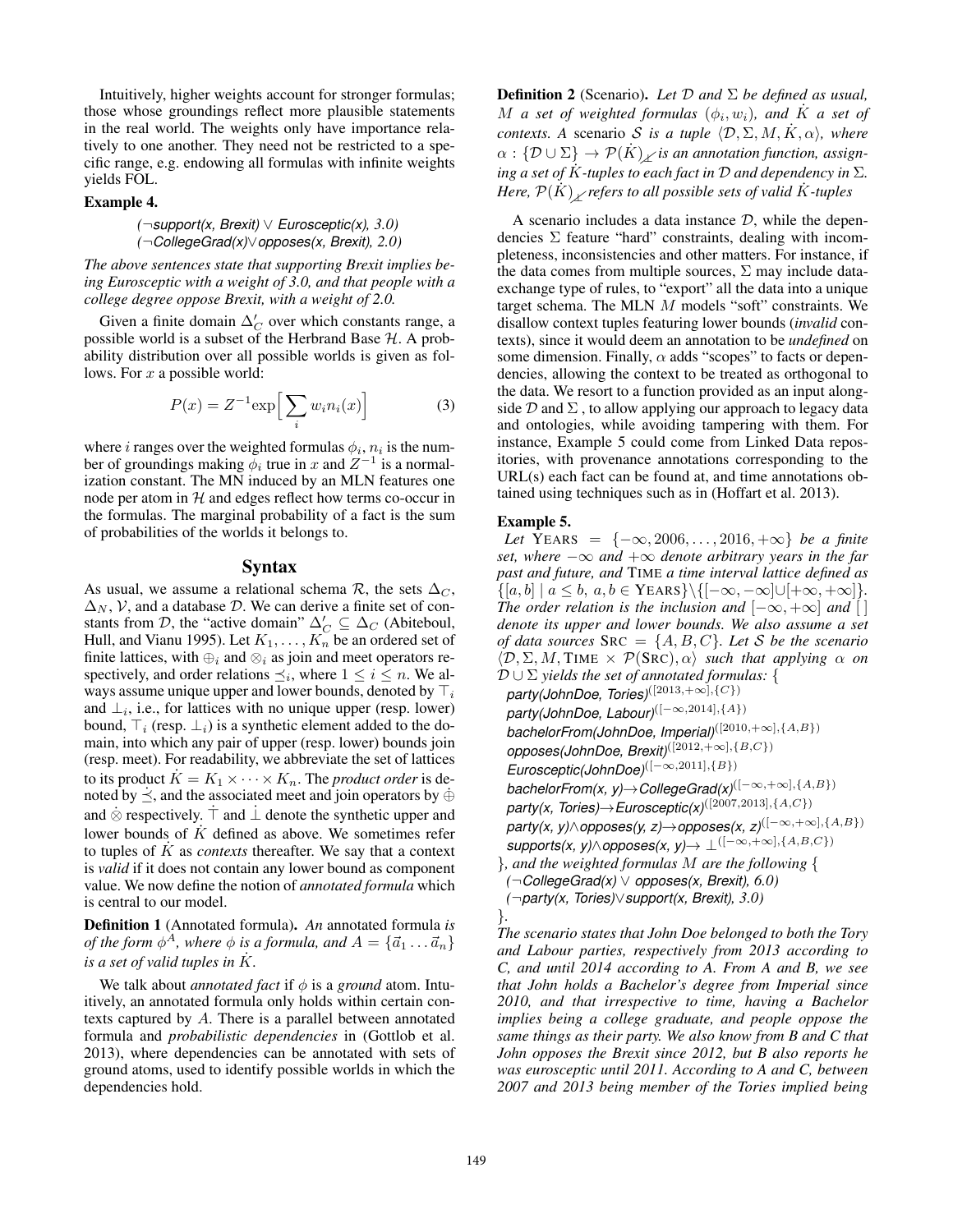Intuitively, higher weights account for stronger formulas; those whose groundings reflect more plausible statements in the real world. The weights only have importance relatively to one another. They need not be restricted to a specific range, e.g. endowing all formulas with infinite weights yields FOL.

#### Example 4.

#### *(*¬*support(x, Brexit)* ∨ *Eurosceptic(x), 3.0) (*¬*CollegeGrad(x)*∨*opposes(x, Brexit), 2.0)*

*The above sentences state that supporting Brexit implies being Eurosceptic with a weight of 3.0, and that people with a college degree oppose Brexit, with a weight of 2.0.*

Given a finite domain  $\Delta_C'$  over which constants range, a possible world is a subset of the Herbrand Base  $H$ . A probability distribution over all possible worlds is given as follows. For  $x$  a possible world:

$$
P(x) = Z^{-1} \exp\left[\sum_{i} w_i n_i(x)\right]
$$
 (3)

where *i* ranges over the weighted formulas  $\phi_i$ ,  $n_i$  is the number of groundings making  $\phi_i$  true in x and  $Z^{-1}$  is a normalization constant. The MN induced by an MLN features one node per atom in  $H$  and edges reflect how terms co-occur in the formulas. The marginal probability of a fact is the sum of probabilities of the worlds it belongs to.

#### Syntax

As usual, we assume a relational schema  $\mathcal{R}$ , the sets  $\Delta_C$ ,  $\Delta_N$ , V, and a database D. We can derive a finite set of constants from D, the "active domain"  $\Delta'_{C} \subseteq \Delta_{C}$  (Abiteboul, Hull, and Vianu 1995). Let  $K_1, \ldots, K_n$  be an ordered set of finite lattices, with  $\bigoplus_i$  and  $\otimes_i$  as join and meet operators respectively, and order relations  $\preceq_i$ , where  $1 \leq i \leq n$ . We always assume unique upper and lower bounds, denoted by  $\top_i$ and  $\perp_i$ , i.e., for lattices with no unique upper (resp. lower) bound,  $\top_i$  (resp.  $\bot_i$ ) is a synthetic element added to the domain, into which any pair of upper (resp. lower) bounds join (resp. meet). For readability, we abbreviate the set of lattices to its product  $K = K_1 \times \cdots \times K_n$ . The *product order* is denoted by  $\preceq$ , and the associated meet and join operators by  $\oplus$ and  $\dot{\otimes}$  respectively.  $\dagger$  and  $\dagger$  denote the synthetic upper and lower bounds of  $\overline{K}$  defined as above. We sometimes refer to tuples of <sup>K</sup>˙ as *contexts* thereafter. We say that a context is *valid* if it does not contain any lower bound as component value. We now define the notion of *annotated formula* which is central to our model.

Definition 1 (Annotated formula). *An* annotated formula *is of the form*  $\phi^A$ *, where*  $\phi$  *is a formula, and*  $A = \{\vec{a}_1 \dots \vec{a}_n\}$ *is a set of valid tuples in*  $\overline{K}$ .

We talk about *annotated fact* if  $\phi$  is a *ground* atom. Intuitively, an annotated formula only holds within certain contexts captured by A. There is a parallel between annotated formula and *probabilistic dependencies* in (Gottlob et al. 2013), where dependencies can be annotated with sets of ground atoms, used to identify possible worlds in which the dependencies hold.

Definition 2 (Scenario). *Let* <sup>D</sup> *and* <sup>Σ</sup> *be defined as usual,* M *a set of weighted formulas*  $(\phi_i, w_i)$ *, and* K *a set of contexts. A* scenario *S is a tuple*  $\langle \mathcal{D}, \Sigma, M, \dot{K}, \alpha \rangle$ , where  $\alpha: {\cal D} \cup \Sigma \} \rightarrow {\cal P}(\dot{K})$ <sub>z</sub> is an annotation function, assign*ing a set of*  $K$ *-tuples to each fact in*  $D$  *and dependency in*  $\Sigma$ *.*  $Here, P(K) \times refers to all possible sets of valid K-tuples$ 

A scenario includes a data instance  $D$ , while the dependencies  $\Sigma$  feature "hard" constraints, dealing with incompleteness, inconsistencies and other matters. For instance, if the data comes from multiple sources,  $\Sigma$  may include dataexchange type of rules, to "export" all the data into a unique target schema. The MLN M models "soft" constraints. We disallow context tuples featuring lower bounds (*invalid* contexts), since it would deem an annotation to be *undefined* on some dimension. Finally,  $\alpha$  adds "scopes" to facts or dependencies, allowing the context to be treated as orthogonal to the data. We resort to a function provided as an input alongside  $D$  and  $\Sigma$ , to allow applying our approach to legacy data and ontologies, while avoiding tampering with them. For instance, Example 5 could come from Linked Data repositories, with provenance annotations corresponding to the URL(s) each fact can be found at, and time annotations obtained using techniques such as in (Hoffart et al. 2013).

# Example 5.

*Let* YEARS =  $\{-\infty, 2006, ..., 2016, +\infty\}$  *be a finite set, where*  $-\infty$  *and*  $+\infty$  *denote arbitrary years in the far past and future, and* TIME *a time interval lattice defined as*  $\{[a, b] \mid a \leq b, a, b \in \text{YEARS}\}\{[-\infty, -\infty] \cup [+\infty, +\infty]\}.$ *The order relation is the inclusion and*  $[-\infty, +\infty]$  *and* [] *denote its upper and lower bounds. We also assume a set of data sources*  $SRC = \{A, B, C\}$ *. Let* S *be the scenario*  $\langle \mathcal{D}, \Sigma, M, \text{TIME} \times \mathcal{P}(\text{SRC}), \alpha \rangle$  *such that applying*  $\alpha$  *on* D ∪ <sup>Σ</sup> *yields the set of annotated formulas:* { *party(JohnDoe, Tories)*([2013,+∞],{C}) *party(JohnDoe, Labour)*([−∞,2014],{A}) *bachelorFrom(JohnDoe, Imperial)*([2010,+∞],{A,B}) *opposes(JohnDoe, Brexit)*([2012,+∞],{B,C}) *Eurosceptic(JohnDoe)*([−∞,2011],{B}) *bachelorFrom(x, y)*→*CollegeGrad(x)*([−∞,+∞],{A,B}) *party(x, Tories)*→*Eurosceptic(x)*([2007,2013],{A,C})  $party(x, y) \wedge$ *opposes(y, z)* $\rightarrow$ *opposes(x, z)*<sup>([-∞,+∞],{A,B})</sup>  $supports(x, y) \wedge opposes(x, y) \rightarrow \bot^{([-\infty, +\infty], \{A, B, C\})}$ }*, and the weighted formulas* <sup>M</sup> *are the following* { *(*¬*CollegeGrad(x)* ∨ *opposes(x, Brexit), 6.0) (*¬*party(x, Tories)*∨*support(x, Brexit), 3.0)*

}*. The scenario states that John Doe belonged to both the Tory and Labour parties, respectively from 2013 according to C, and until 2014 according to A. From A and B, we see that John holds a Bachelor's degree from Imperial since 2010, and that irrespective to time, having a Bachelor implies being a college graduate, and people oppose the same things as their party. We also know from B and C that John opposes the Brexit since 2012, but B also reports he was eurosceptic until 2011. According to A and C, between 2007 and 2013 being member of the Tories implied being*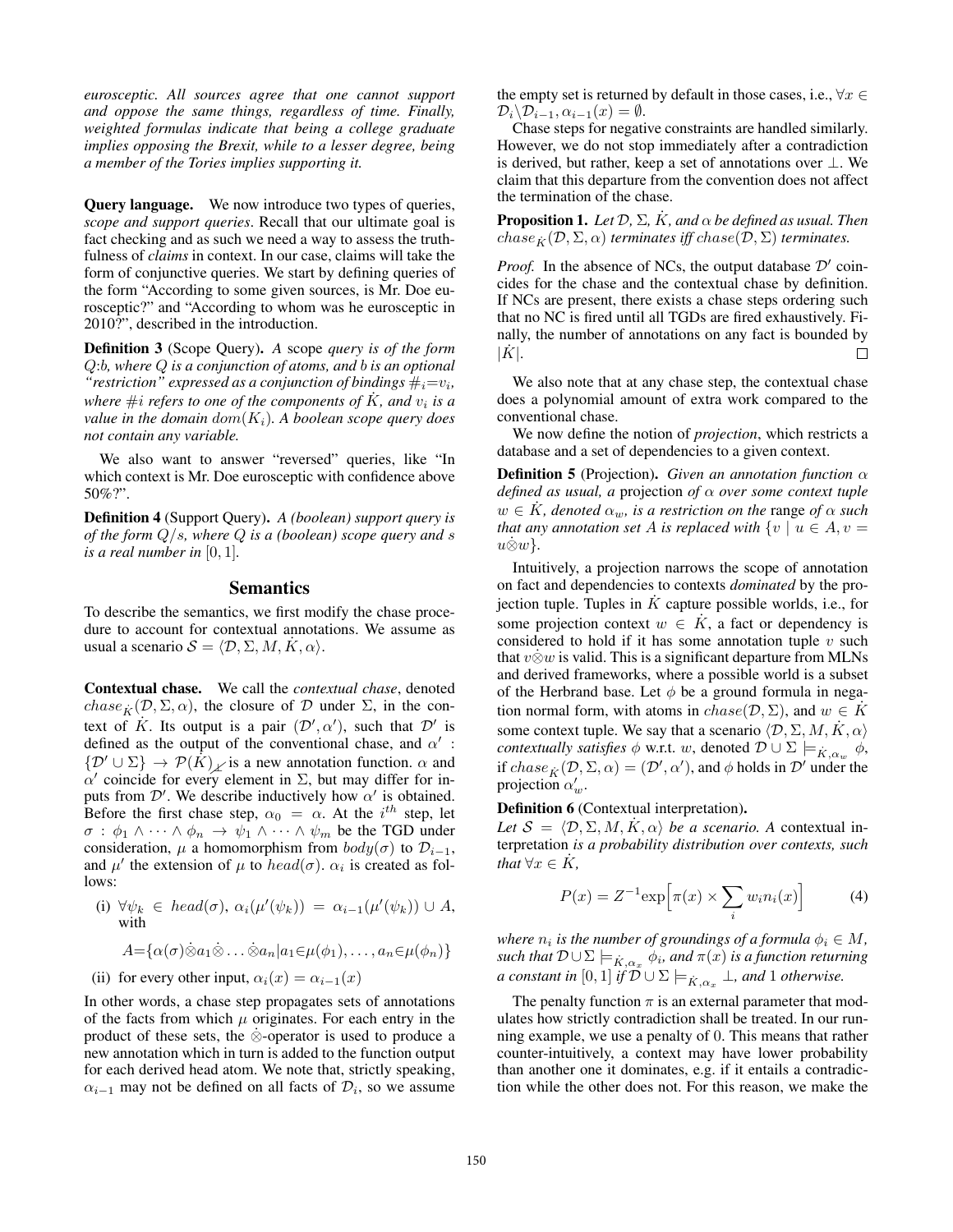*eurosceptic. All sources agree that one cannot support and oppose the same things, regardless of time. Finally, weighted formulas indicate that being a college graduate implies opposing the Brexit, while to a lesser degree, being a member of the Tories implies supporting it.*

Query language. We now introduce two types of queries, *scope and support queries*. Recall that our ultimate goal is fact checking and as such we need a way to assess the truthfulness of *claims* in context. In our case, claims will take the form of conjunctive queries. We start by defining queries of the form "According to some given sources, is Mr. Doe eurosceptic?" and "According to whom was he eurosceptic in 2010?", described in the introduction.

Definition 3 (Scope Query). *A* scope *query is of the form* Q:b*, where* Q *is a conjunction of atoms, and* b *is an optional* "*restriction*" expressed as a conjunction of bindings  $\#_i = v_i$ , *where*  $\#i$  *refers to one of the components of*  $\dot{K}$ *, and*  $v_i$  *is a value in the domain*  $dom(K_i)$ *. A boolean scope query does not contain any variable.*

We also want to answer "reversed" queries, like "In which context is Mr. Doe eurosceptic with confidence above 50%?".

Definition 4 (Support Query). *A (boolean) support query is of the form* Q/s*, where* Q *is a (boolean) scope query and* s *is a real number in*  $[0, 1]$ *.* 

### **Semantics**

To describe the semantics, we first modify the chase procedure to account for contextual annotations. We assume as usual a scenario  $S = \langle \mathcal{D}, \Sigma, M, K, \alpha \rangle$ .

Contextual chase. We call the *contextual chase*, denoted chase  $_{\vec{k}}(\mathcal{D}, \Sigma, \alpha)$ , the closure of D under  $\Sigma$ , in the context of  $K$ . Its output is a pair  $(\mathcal{D}')$ ',  $\alpha'$ ), such that  $\mathcal{D}'$  is defined as the output of the conventional chase, and  $\alpha'$ :  $\{\mathcal{D}' \cup \Sigma\} \rightarrow \mathcal{P}(K)$  is a new annotation function.  $\alpha$  and  $\alpha'$  coincide for every element in  $\Sigma$ , but may differ for inputs from  $\mathcal{D}'$ . We describe inductively how  $\alpha'$  is obtained. Before the first chase step,  $\alpha_0 = \alpha$ . At the i<sup>th</sup> step, let  $\sigma : \phi_1 \wedge \cdots \wedge \phi_n \rightarrow \psi_1 \wedge \cdots \wedge \psi_m$  be the TGD under consideration,  $\mu$  a homomorphism from  $body(\sigma)$  to  $\mathcal{D}_{i-1}$ , and  $\mu'$  the extension of  $\mu$  to  $head(\sigma)$ .  $\alpha_i$  is created as follows:

(i)  $\forall \psi_k \in \text{head}(\sigma), \alpha_i(\mu'(\psi_k)) = \alpha_{i-1}(\mu'(\psi_k)) \cup A,$ with

$$
A = {\alpha(\sigma)\dot{\otimes}a_1\dot{\otimes}\ldots\dot{\otimes}a_n|a_1\in\mu(\phi_1),\ldots,a_n\in\mu(\phi_n)}
$$

(ii) for every other input,  $\alpha_i(x) = \alpha_{i-1}(x)$ 

In other words, a chase step propagates sets of annotations of the facts from which  $\mu$  originates. For each entry in the product of these sets, the  $\dot{\otimes}$ -operator is used to produce a new annotation which in turn is added to the function output for each derived head atom. We note that, strictly speaking,  $\alpha_{i-1}$  may not be defined on all facts of  $\mathcal{D}_i$ , so we assume

the empty set is returned by default in those cases, i.e.,  $\forall x \in$  $\mathcal{D}_i \backslash \mathcal{D}_{i-1}, \alpha_{i-1}(x) = \emptyset.$ 

Chase steps for negative constraints are handled similarly. However, we do not stop immediately after a contradiction is derived, but rather, keep a set of annotations over  $\perp$ . We claim that this departure from the convention does not affect the termination of the chase.

**Proposition 1.** *Let*  $\mathcal{D}$ ,  $\Sigma$ ,  $\dot{K}$ , and  $\alpha$  *be defined as usual. Then*  $chase_{\kappa}(\mathcal{D}, \Sigma, \alpha)$  *terminates iff*  $chase(\mathcal{D}, \Sigma)$  *terminates.* 

*Proof.* In the absence of NCs, the output database  $\mathcal{D}'$  coincides for the chase and the contextual chase by definition. If NCs are present, there exists a chase steps ordering such that no NC is fired until all TGDs are fired exhaustively. Finally, the number of annotations on any fact is bounded by  $|K|$ .  $\Box$ 

We also note that at any chase step, the contextual chase does a polynomial amount of extra work compared to the conventional chase.

We now define the notion of *projection*, which restricts a database and a set of dependencies to a given context.

**Definition 5** (Projection). *Given an annotation function*  $\alpha$ *defined as usual, a* projection *of* α *over some context tuple*  $w \in K$ , denoted  $\alpha_w$ , is a restriction on the range of  $\alpha$  such *that any annotation set* A *is replaced with*  $\{v \mid u \in A, v =$  $u\&w\}.$ 

Intuitively, a projection narrows the scope of annotation on fact and dependencies to contexts *dominated* by the projection tuple. Tuples in  $\overline{K}$  capture possible worlds, i.e., for some projection context  $w \in K$ , a fact or dependency is considered to hold if it has some annotation tuple  $v$  such that  $v \dot{\otimes} w$  is valid. This is a significant departure from MLNs and derived frameworks, where a possible world is a subset of the Herbrand base. Let  $\phi$  be a ground formula in negation normal form, with atoms in  $chase(\mathcal{D}, \Sigma)$ , and  $w \in K$ some context tuple. We say that a scenario  $\langle \mathcal{D}, \Sigma, M, K, \alpha \rangle$ *contextually satisfies*  $\phi$  w.r.t. w, denoted  $\mathcal{D} \cup \Sigma \models_{\dot{K}, \alpha_{\text{new}}} \phi$ , if  $chase_K(\mathcal{D}, \Sigma, \alpha) = (\mathcal{D}', \alpha')$ , and  $\phi$  holds in  $\mathcal{D}'$  under the projection  $\alpha'_w$ .

#### Definition 6 (Contextual interpretation).

*Let*  $S = \langle \mathcal{D}, \Sigma, M, K, \alpha \rangle$  *be a scenario.* A contextual interpretation *is a probability distribution over contexts, such that*  $\forall x \in K$ ,

$$
P(x) = Z^{-1} \exp\left[\pi(x) \times \sum_{i} w_i n_i(x)\right]
$$
 (4)

*where*  $n_i$  *is the number of groundings of a formula*  $\phi_i \in M$ ,  $\mathit{such that}$   $\mathcal{D} \cup \Sigma \models_{\dot{K}, \alpha_x} \dot{\phi_i}$ , and  $\pi(x)$  *is a function returning a constant in*  $[0,1]$  *if*  $\mathcal{D} \cup \Sigma \models_{\dot{K},\alpha_x} \bot$ *, and* 1 *otherwise.* 

The penalty function  $\pi$  is an external parameter that modulates how strictly contradiction shall be treated. In our running example, we use a penalty of 0. This means that rather counter-intuitively, a context may have lower probability than another one it dominates, e.g. if it entails a contradiction while the other does not. For this reason, we make the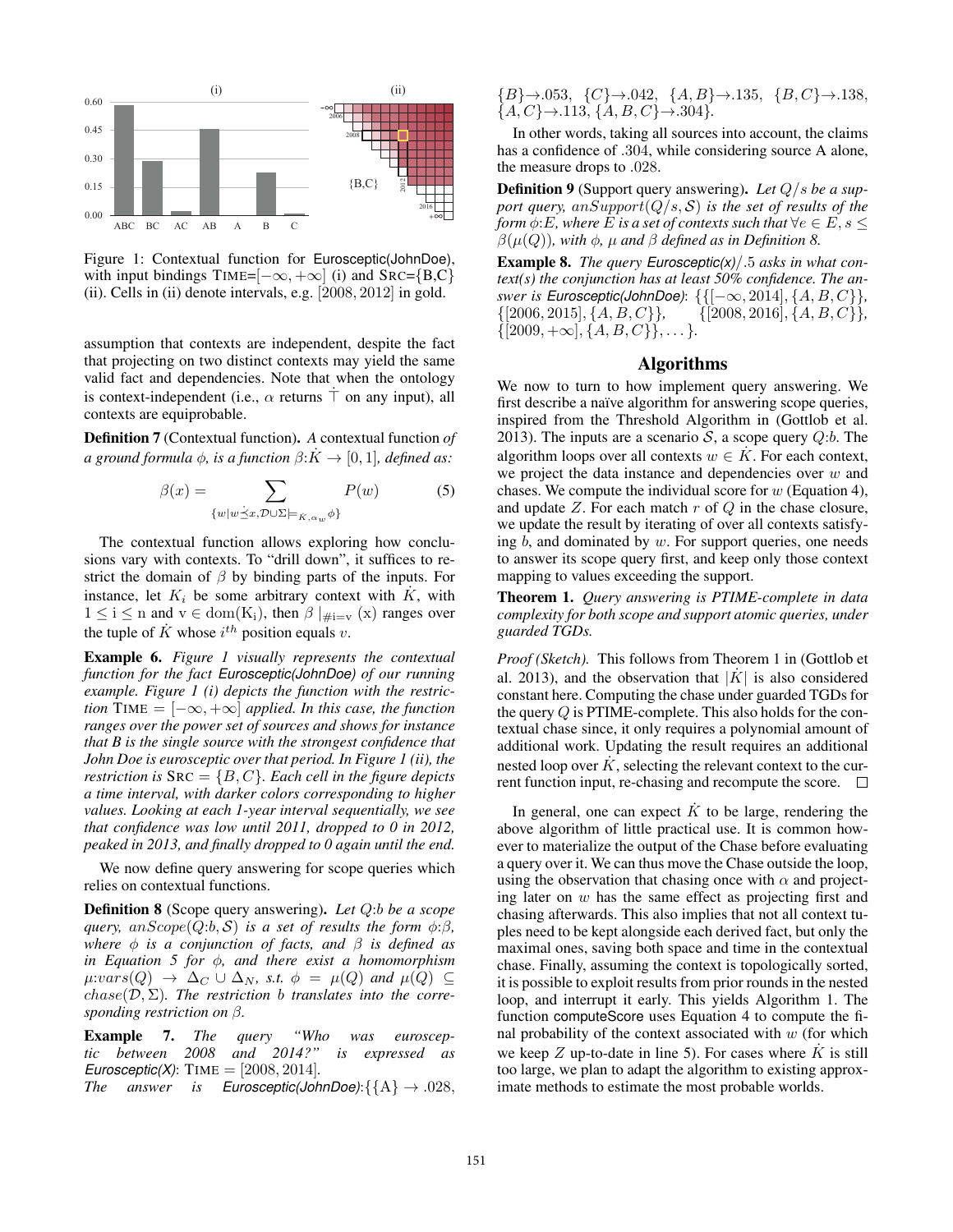

Figure 1: Contextual function for Eurosceptic(JohnDoe), with input bindings TIME= $[-\infty, +\infty]$  (i) and SRC={B,C} (ii). Cells in (ii) denote intervals, e.g. [2008, 2012] in gold.

assumption that contexts are independent, despite the fact that projecting on two distinct contexts may yield the same valid fact and dependencies. Note that when the ontology is context-independent (i.e.,  $\alpha$  returns  $\top$  on any input), all contexts are equiprobable.

Definition 7 (Contextual function). *A* contextual function *of a ground formula*  $\phi$ *, is a function*  $\beta: K \to [0, 1]$ *, defined as:* 

$$
\beta(x) = \sum_{\{w \mid w \preceq x, \mathcal{D} \cup \Sigma \models_{K, \alpha_w} \phi\}} P(w) \tag{5}
$$

The contextual function allows exploring how conclusions vary with contexts. To "drill down", it suffices to restrict the domain of  $\beta$  by binding parts of the inputs. For instance, let  $K_i$  be some arbitrary context with  $K$ , with  $1 \leq i \leq n$  and  $v \in \text{dom}(K_i)$ , then  $\beta |_{\#i=v}(x)$  ranges over the tuple of K whose  $i^{th}$  position equals v.

Example 6. *Figure 1 visually represents the contextual function for the fact Eurosceptic(JohnDoe) of our running example. Figure 1 (i) depicts the function with the restriction* TIME =  $[-\infty, +\infty]$  *applied. In this case, the function ranges over the power set of sources and shows for instance that B is the single source with the strongest confidence that John Doe is eurosceptic over that period. In Figure 1 (ii), the restriction is*  $SRC = \{B, C\}$ *. Each cell in the figure depicts a time interval, with darker colors corresponding to higher values. Looking at each 1-year interval sequentially, we see that confidence was low until 2011, dropped to 0 in 2012, peaked in 2013, and finally dropped to 0 again until the end.*

We now define query answering for scope queries which relies on contextual functions.

Definition 8 (Scope query answering). *Let* Q:b *be a scope query,*  $anScope(Q:b, S)$  *is a set of results the form*  $\phi:\beta$ *, where* φ *is a conjunction of facts, and* β *is defined as in Equation 5 for* φ*, and there exist a homomorphism*  $\mu: vars(Q) \rightarrow \Delta_C \cup \Delta_N$ , s.t.  $\phi = \mu(Q)$  and  $\mu(Q) \subseteq$  $chase(D, \Sigma)$ *. The restriction b translates into the corresponding restriction on* β*.*

Example 7. *The query "Who was eurosceptic between 2008 and 2014?" is expressed as Eurosceptic(X)*: TIME = [2008, 2014]*.*

*The answer is Eurosceptic(JohnDoe)*: $\{A\} \rightarrow .028$ ,

 ${B} \rightarrow .053, \{C\} \rightarrow .042, \{A, B\} \rightarrow .135, \{B, C\} \rightarrow .138,$  ${A, C} \rightarrow .113, {A, B, C} \rightarrow .304$ *.* 

In other words, taking all sources into account, the claims has a confidence of .304, while considering source A alone, the measure drops to .028.

Definition 9 (Support query answering). *Let* Q/s *be a support query, anSupport* $(Q/s, S)$  *is the set of results of the form*  $\phi$ :*E*, where *E* is a set of contexts such that  $\forall e \in E$ ,  $s \leq$  $\beta(\mu(Q))$ *, with*  $\phi$ *,*  $\mu$  *and*  $\beta$  *defined as in Definition 8.* 

Example 8. *The query Eurosceptic(x)*/.5 *asks in what context(s) the conjunction has at least 50% confidence. The answer is Eurosceptic(JohnDoe)*: {{[−∞, 2014], {*A, B, C*}}*,*<br>{[2006, 2015], {*A, B, C*}}*,* {[2008, 2016], {*A, B, C*}}*,*  $\{[2008, 2016], \{A, B, C\}\},\$  $\{ [2009, +\infty], \{A, B, C\} \}, \ldots$ }.

#### Algorithms

We now to turn to how implement query answering. We first describe a naïve algorithm for answering scope queries, inspired from the Threshold Algorithm in (Gottlob et al. 2013). The inputs are a scenario  $\mathcal{S}$ , a scope query  $Q:b$ . The algorithm loops over all contexts  $w \in K$ . For each context, we project the data instance and dependencies over  $w$  and chases. We compute the individual score for  $w$  (Equation 4), and update  $Z$ . For each match  $r$  of  $Q$  in the chase closure, we update the result by iterating of over all contexts satisfying  $b$ , and dominated by  $w$ . For support queries, one needs to answer its scope query first, and keep only those context mapping to values exceeding the support.

Theorem 1. *Query answering is PTIME-complete in data complexity for both scope and support atomic queries, under guarded TGDs.*

*Proof (Sketch).* This follows from Theorem 1 in (Gottlob et al. 2013), and the observation that  $|K|$  is also considered constant here. Computing the chase under guarded TGDs for the query Q is PTIME-complete. This also holds for the contextual chase since, it only requires a polynomial amount of additional work. Updating the result requires an additional nested loop over  $\hat{K}$ , selecting the relevant context to the current function input, re-chasing and recompute the score.  $\Box$ 

In general, one can expect  $\dot{K}$  to be large, rendering the above algorithm of little practical use. It is common however to materialize the output of the Chase before evaluating a query over it. We can thus move the Chase outside the loop, using the observation that chasing once with  $\alpha$  and projecting later on w has the same effect as projecting first and chasing afterwards. This also implies that not all context tuples need to be kept alongside each derived fact, but only the maximal ones, saving both space and time in the contextual chase. Finally, assuming the context is topologically sorted, it is possible to exploit results from prior rounds in the nested loop, and interrupt it early. This yields Algorithm 1. The function computeScore uses Equation 4 to compute the final probability of the context associated with  $w$  (for which we keep  $Z$  up-to-date in line 5). For cases where  $K$  is still too large, we plan to adapt the algorithm to existing approximate methods to estimate the most probable worlds.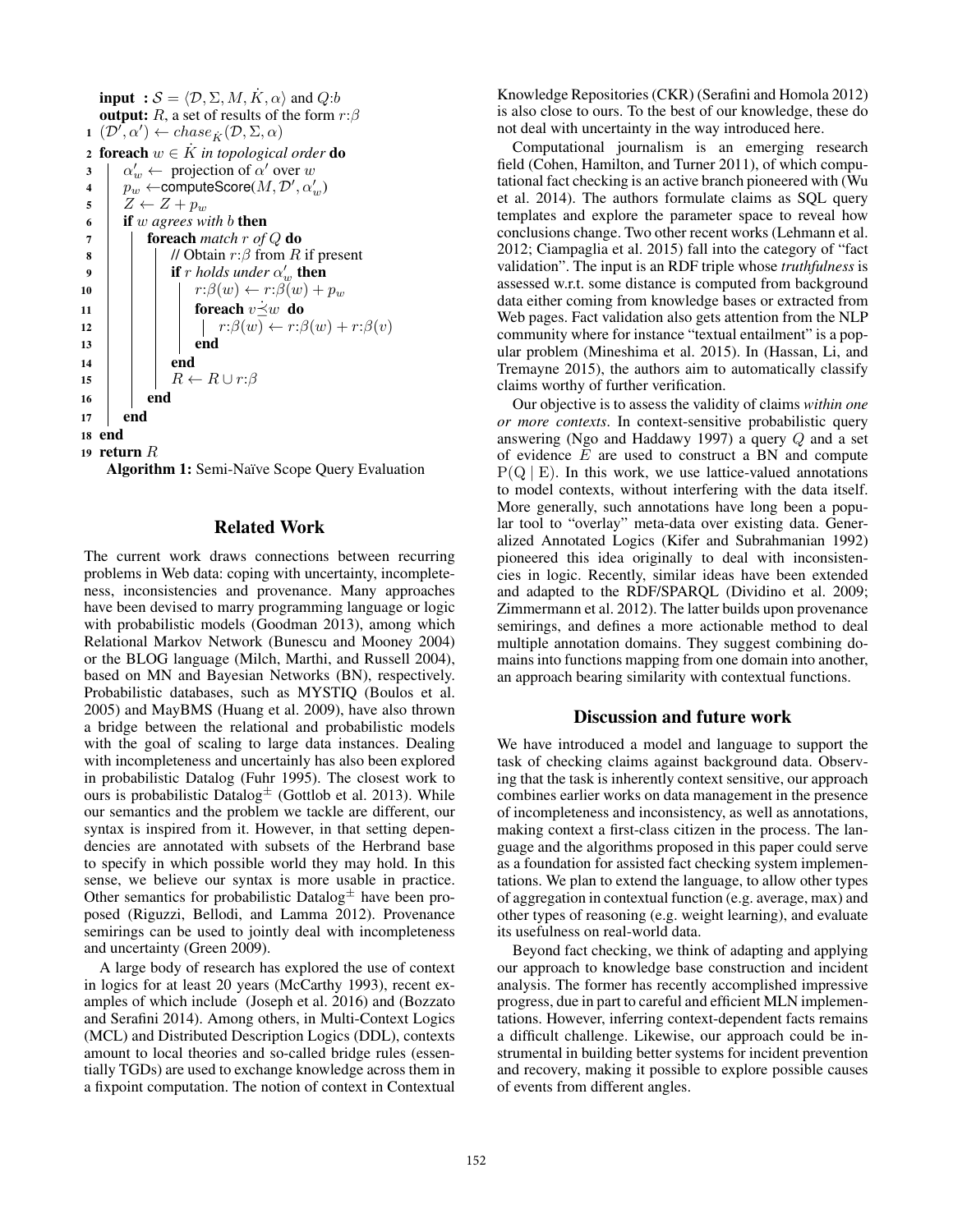**input** :  $S = \langle \mathcal{D}, \Sigma, M, \dot{K}, \alpha \rangle$  and  $Q:b$ output: R, a set of results of the form  $r:\beta$  $\mathbf{1} \ (\mathcal{D}', \alpha') \leftarrow \text{chase}_{\hat{K}}(\mathcal{D}, \Sigma, \alpha)$ 2 **foreach**  $w \in K$  *in topological order* **do**<br>3  $\alpha'_w \leftarrow$  projection of  $\alpha'$  over w 3  $\alpha'_w \leftarrow \text{projection of } \alpha' \text{ over } w$ 4  $p_w^{\omega} \leftarrow$ computeScore $(M, \mathcal{D}', \alpha_w')$ 4  $\begin{array}{c} p_w \leftarrow \text{compute} \\ 5 \quad Z \leftarrow Z + p_w \\ 6 \quad \text{if } w \text{ agrees } w \end{array}$ <sup>6</sup> if w *agrees with* b then <sup>7</sup> foreach *match* r *of* Q do 8 | | | // Obtain  $r:\beta$  from R if present 9 **if** r holds under  $\alpha'_w$  then 10 | |  $r: \beta(w) \leftarrow r: \beta(w) + p_w$ 11 **foreach**  $v \leq w$  **do**<br>
12 **foreach**  $v \leq w$  **do**<br>
12 **foreach**  $v \leq w$  **do** 12  $\vert \vert \vert \vert \vert \vert \vert \vert \mathrm{end}$   $r:\beta(w) \leftarrow r:\beta(w) + r:\beta(v)$ end  $14$  | | end 15  $\begin{array}{|c|c|c|c|}\n\hline\n16 & \text{end}\n\end{array}$ end 17 | end <sup>18</sup> end <sup>19</sup> return R

Algorithm 1: Semi-Naïve Scope Query Evaluation

#### Related Work

The current work draws connections between recurring problems in Web data: coping with uncertainty, incompleteness, inconsistencies and provenance. Many approaches have been devised to marry programming language or logic with probabilistic models (Goodman 2013), among which Relational Markov Network (Bunescu and Mooney 2004) or the BLOG language (Milch, Marthi, and Russell 2004), based on MN and Bayesian Networks (BN), respectively. Probabilistic databases, such as MYSTIQ (Boulos et al. 2005) and MayBMS (Huang et al. 2009), have also thrown a bridge between the relational and probabilistic models with the goal of scaling to large data instances. Dealing with incompleteness and uncertainly has also been explored in probabilistic Datalog (Fuhr 1995). The closest work to ours is probabilistic Datalog $\pm$  (Gottlob et al. 2013). While our semantics and the problem we tackle are different, our syntax is inspired from it. However, in that setting dependencies are annotated with subsets of the Herbrand base to specify in which possible world they may hold. In this sense, we believe our syntax is more usable in practice. Other semantics for probabilistic Datalog $\pm$  have been proposed (Riguzzi, Bellodi, and Lamma 2012). Provenance semirings can be used to jointly deal with incompleteness and uncertainty (Green 2009).

A large body of research has explored the use of context in logics for at least 20 years (McCarthy 1993), recent examples of which include (Joseph et al. 2016) and (Bozzato and Serafini 2014). Among others, in Multi-Context Logics (MCL) and Distributed Description Logics (DDL), contexts amount to local theories and so-called bridge rules (essentially TGDs) are used to exchange knowledge across them in a fixpoint computation. The notion of context in Contextual

Knowledge Repositories (CKR) (Serafini and Homola 2012) is also close to ours. To the best of our knowledge, these do not deal with uncertainty in the way introduced here.

Computational journalism is an emerging research field (Cohen, Hamilton, and Turner 2011), of which computational fact checking is an active branch pioneered with (Wu et al. 2014). The authors formulate claims as SQL query templates and explore the parameter space to reveal how conclusions change. Two other recent works (Lehmann et al. 2012; Ciampaglia et al. 2015) fall into the category of "fact validation". The input is an RDF triple whose *truthfulness* is assessed w.r.t. some distance is computed from background data either coming from knowledge bases or extracted from Web pages. Fact validation also gets attention from the NLP community where for instance "textual entailment" is a popular problem (Mineshima et al. 2015). In (Hassan, Li, and Tremayne 2015), the authors aim to automatically classify claims worthy of further verification.

Our objective is to assess the validity of claims *within one or more contexts*. In context-sensitive probabilistic query answering (Ngo and Haddawy 1997) a query Q and a set of evidence  $E$  are used to construct a BN and compute  $P(Q | E)$ . In this work, we use lattice-valued annotations to model contexts, without interfering with the data itself. More generally, such annotations have long been a popular tool to "overlay" meta-data over existing data. Generalized Annotated Logics (Kifer and Subrahmanian 1992) pioneered this idea originally to deal with inconsistencies in logic. Recently, similar ideas have been extended and adapted to the RDF/SPARQL (Dividino et al. 2009; Zimmermann et al. 2012). The latter builds upon provenance semirings, and defines a more actionable method to deal multiple annotation domains. They suggest combining domains into functions mapping from one domain into another, an approach bearing similarity with contextual functions.

# Discussion and future work

We have introduced a model and language to support the task of checking claims against background data. Observing that the task is inherently context sensitive, our approach combines earlier works on data management in the presence of incompleteness and inconsistency, as well as annotations, making context a first-class citizen in the process. The language and the algorithms proposed in this paper could serve as a foundation for assisted fact checking system implementations. We plan to extend the language, to allow other types of aggregation in contextual function (e.g. average, max) and other types of reasoning (e.g. weight learning), and evaluate its usefulness on real-world data.

Beyond fact checking, we think of adapting and applying our approach to knowledge base construction and incident analysis. The former has recently accomplished impressive progress, due in part to careful and efficient MLN implementations. However, inferring context-dependent facts remains a difficult challenge. Likewise, our approach could be instrumental in building better systems for incident prevention and recovery, making it possible to explore possible causes of events from different angles.